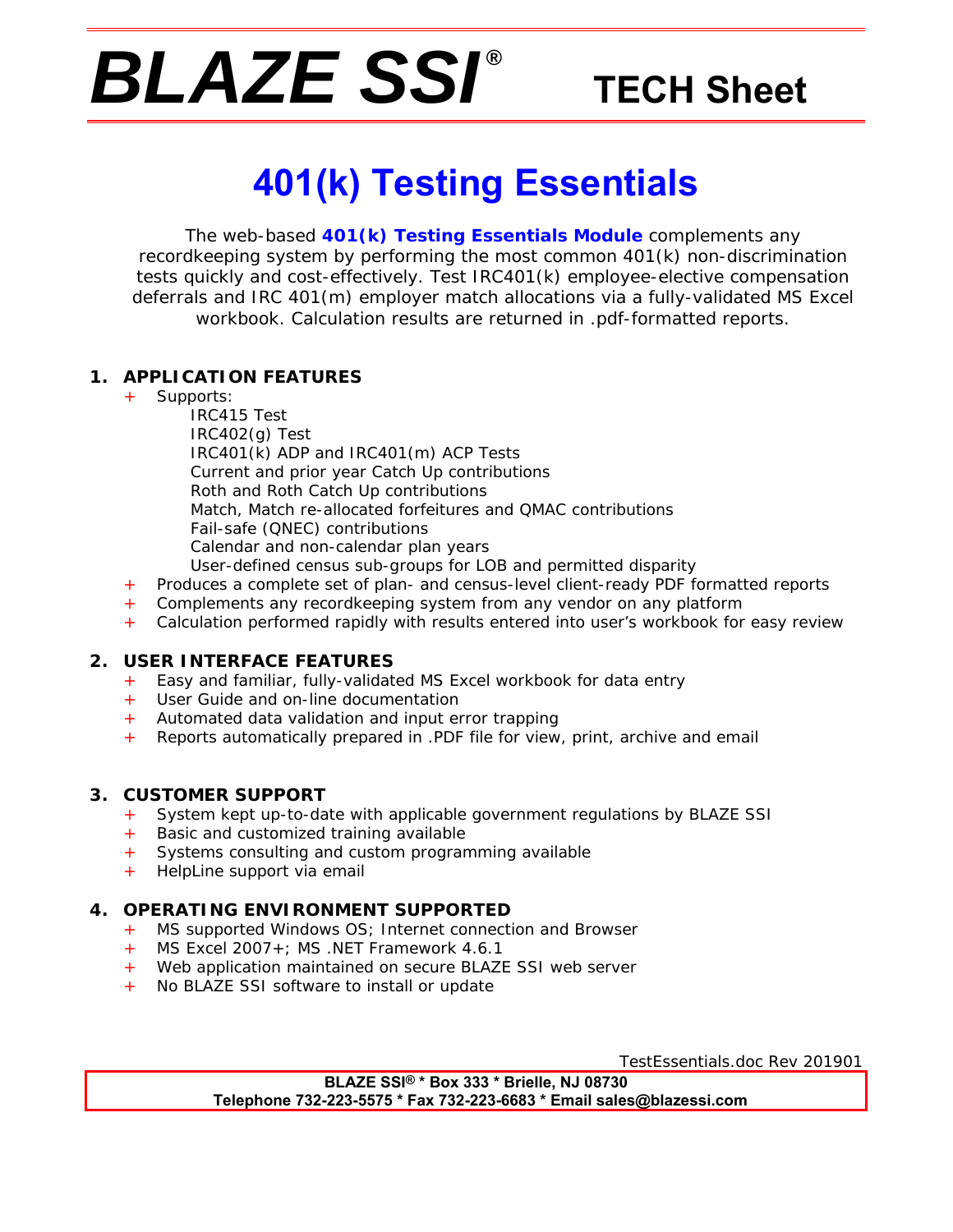# *BLAZE SSI ®*

## **TECH Sheet**

# **401(k) Testing Essentials**

The web-based **401(k) Testing Essentials Module** complements any recordkeeping system by performing the most common 401(k) non-discrimination tests quickly and cost-effectively. Test IRC401(k) employee-elective compensation deferrals and IRC 401(m) employer match allocations via a fully-validated MS Excel workbook. Calculation results are returned in .pdf-formatted reports.

#### **1. APPLICATION FEATURES**

+ Supports:

 IRC415 Test IRC402(g) Test IRC401(k) ADP and IRC401(m) ACP Tests Current and prior year Catch Up contributions Roth and Roth Catch Up contributions Match, Match re-allocated forfeitures and QMAC contributions Fail-safe (QNEC) contributions Calendar and non-calendar plan years User-defined census sub-groups for LOB and permitted disparity

- + Produces a complete set of plan- and census-level client-ready PDF formatted reports
- Complements any recordkeeping system from any vendor on any platform
- + Calculation performed rapidly with results entered into user's workbook for easy review

#### **2. USER INTERFACE FEATURES**

- + Easy and familiar, fully-validated MS Excel workbook for data entry
- + User Guide and on-line documentation
- + Automated data validation and input error trapping
- + Reports automatically prepared in .PDF file for view, print, archive and email

#### **3. CUSTOMER SUPPORT**

- + System kept up-to-date with applicable government regulations by BLAZE SSI
- Basic and customized training available
- + Systems consulting and custom programming available
- + HelpLine support via email

#### **4. OPERATING ENVIRONMENT SUPPORTED**

- + MS supported Windows OS; Internet connection and Browser
- + MS Excel 2007+; MS .NET Framework 4.6.1
- + Web application maintained on secure BLAZE SSI web server
- + No BLAZE SSI software to install or update

TestEssentials.doc Rev 201901

**BLAZE SSI® \* Box 333 \* Brielle, NJ 08730 Telephone 732-223-5575 \* Fax 732-223-6683 \* Email sales@blazessi.com**